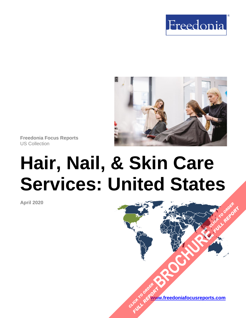



**Freedonia Focus Reports** US Collection

# **Hair, Nail, & Skin Care Services: United States**

**April 2020**

**[www.freedoniafocusreports.com](https://www.freedoniafocusreports.com/redirect.asp?progid=89534&url=/)** CLICK TO ORDER **FULL REPORT** 

**[BROCHURE](https://www.freedoniafocusreports.com/Hair-Nail-Skin-Care-Services-United-States-FF95049/?progid=89541) CLICK TO ORDER** 

**FULL REPORT**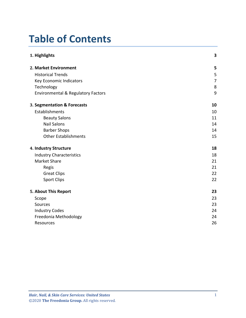# **Table of Contents**

| 1. Highlights                                 | 3  |
|-----------------------------------------------|----|
| 2. Market Environment                         | 5  |
| <b>Historical Trends</b>                      | 5  |
| Key Economic Indicators                       | 7  |
| Technology                                    | 8  |
| <b>Environmental &amp; Regulatory Factors</b> | 9  |
| 3. Segmentation & Forecasts                   | 10 |
| Establishments                                | 10 |
| <b>Beauty Salons</b>                          | 11 |
| <b>Nail Salons</b>                            | 14 |
| <b>Barber Shops</b>                           | 14 |
| <b>Other Establishments</b>                   | 15 |
| 4. Industry Structure                         | 18 |
| <b>Industry Characteristics</b>               | 18 |
| <b>Market Share</b>                           | 21 |
| Regis                                         | 21 |
| <b>Great Clips</b>                            | 22 |
| <b>Sport Clips</b>                            | 22 |
| 5. About This Report                          | 23 |
| Scope                                         | 23 |
| Sources                                       | 23 |
| <b>Industry Codes</b>                         | 24 |
| Freedonia Methodology                         | 24 |
| Resources                                     | 26 |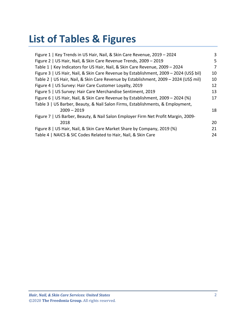# **List of Tables & Figures**

| 3  |
|----|
| 5  |
| 7  |
| 10 |
| 10 |
| 12 |
| 13 |
| 17 |
|    |
| 18 |
|    |
| 20 |
| 21 |
| 24 |
|    |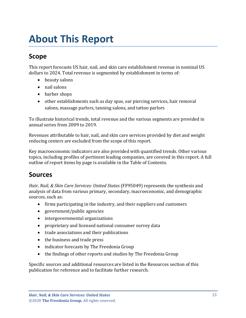# <span id="page-3-0"></span>**About This Report**

# <span id="page-3-1"></span>**Scope**

This report forecasts US hair, nail, and skin care establishment revenue in nominal US dollars to 2024. Total revenue is segmented by establishment in terms of:

- beauty salons
- nail salons
- barber shops
- other establishments such as day spas, ear piercing services, hair removal salons, massage parlors, tanning salons, and tattoo parlors

To illustrate historical trends, total revenue and the various segments are provided in annual series from 2009 to 2019.

Revenues attributable to hair, nail, and skin care services provided by diet and weight reducing centers are excluded from the scope of this report.

Key macroeconomic indicators are also provided with quantified trends. Other various topics, including profiles of pertinent leading companies, are covered in this report. A full outline of report items by page is available in the Table of Contents.

## <span id="page-3-2"></span>**Sources**

*Hair, Nail, & Skin Care Services: United States* (FF95049) represents the synthesis and analysis of data from various primary, secondary, macroeconomic, and demographic sources, such as:

- firms participating in the industry, and their suppliers and customers
- government/public agencies
- intergovernmental organizations
- proprietary and licensed national consumer survey data
- trade associations and their publications
- the business and trade press
- indicator forecasts by The Freedonia Group
- the findings of other reports and studies by The Freedonia Group

Specific sources and additional resources are listed in the Resources section of this publication for reference and to facilitate further research.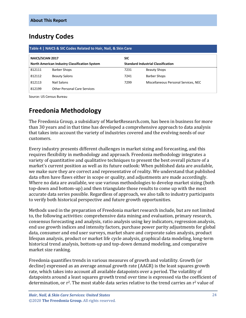# <span id="page-4-0"></span>**Industry Codes**

<span id="page-4-2"></span>

| Table 4   NAICS & SIC Codes Related to Hair, Nail, & Skin Care |                                       |      |                                           |  |
|----------------------------------------------------------------|---------------------------------------|------|-------------------------------------------|--|
|                                                                | <b>NAICS/SCIAN 2017</b><br><b>SIC</b> |      |                                           |  |
| <b>North American Industry Classification System</b>           |                                       |      | <b>Standard Industrial Classification</b> |  |
| 812111                                                         | <b>Barber Shops</b>                   | 7231 | <b>Beauty Shops</b>                       |  |
| 812112                                                         | <b>Beauty Salons</b>                  | 7241 | <b>Barber Shops</b>                       |  |
| 812113                                                         | Nail Salons                           | 7299 | Miscellaneous Personal Services, NEC      |  |
| 812199                                                         | <b>Other Personal Care Services</b>   |      |                                           |  |

Source: US Census Bureau

# <span id="page-4-1"></span>**Freedonia Methodology**

The Freedonia Group, a subsidiary of MarketResearch.com, has been in business for more than 30 years and in that time has developed a comprehensive approach to data analysis that takes into account the variety of industries covered and the evolving needs of our customers.

Every industry presents different challenges in market sizing and forecasting, and this requires flexibility in methodology and approach. Freedonia methodology integrates a variety of quantitative and qualitative techniques to present the best overall picture of a market's current position as well as its future outlook: When published data are available, we make sure they are correct and representative of reality. We understand that published data often have flaws either in scope or quality, and adjustments are made accordingly. Where no data are available, we use various methodologies to develop market sizing (both top-down and bottom-up) and then triangulate those results to come up with the most accurate data series possible. Regardless of approach, we also talk to industry participants to verify both historical perspective and future growth opportunities.

Methods used in the preparation of Freedonia market research include, but are not limited to, the following activities: comprehensive data mining and evaluation, primary research, consensus forecasting and analysis, ratio analysis using key indicators, regression analysis, end use growth indices and intensity factors, purchase power parity adjustments for global data, consumer and end user surveys, market share and corporate sales analysis, product lifespan analysis, product or market life cycle analysis, graphical data modeling, long-term historical trend analysis, bottom-up and top-down demand modeling, and comparative market size ranking.

Freedonia quantifies trends in various measures of growth and volatility. Growth (or decline) expressed as an average annual growth rate (AAGR) is the least squares growth rate, which takes into account all available datapoints over a period. The volatility of datapoints around a least squares growth trend over time is expressed via the coefficient of determination, or  $r^2$ . The most stable data series relative to the trend carries an  $r^2$  value of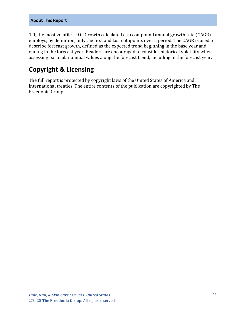#### **About This Report**

1.0; the most volatile – 0.0. Growth calculated as a compound annual growth rate (CAGR) employs, by definition, only the first and last datapoints over a period. The CAGR is used to describe forecast growth, defined as the expected trend beginning in the base year and ending in the forecast year. Readers are encouraged to consider historical volatility when assessing particular annual values along the forecast trend, including in the forecast year.

# **Copyright & Licensing**

The full report is protected by copyright laws of the United States of America and international treaties. The entire contents of the publication are copyrighted by The Freedonia Group.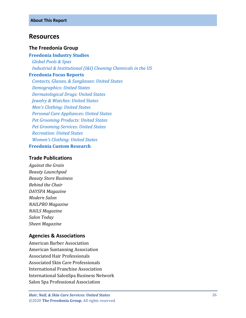## <span id="page-6-0"></span>**Resources**

#### **The Freedonia Group**

#### **[Freedonia Industry Studies](http://www.freedoniagroup.com/Home.aspx?ReferrerId=FL-Focus)**

 *[Global Pools & Spas](http://www.freedoniagroup.com/DocumentDetails.aspx?ReferrerId=FL-FOCUS&studyid=3778) [Industrial & Institutional \(I&I\) Cleaning Chemicals in the US](http://www.freedoniagroup.com/DocumentDetails.aspx?ReferrerId=FL-FOCUS&studyid=3646)*

#### **[Freedonia Focus Reports](https://www.freedoniafocusreports.com/redirect.asp?progid=89534&url=/)**

 *[Contacts, Glasses, & Sunglasses: United States](https://www.freedoniafocusreports.com/Contacts-Glasses-Sunglasses-United-States-FF40088/?progid=89534) [Demographics: United States](https://www.freedoniafocusreports.com/Demographics-United-States-FF95050/?progid=89534) [Dermatological Drugs: United States](https://www.freedoniafocusreports.com/Dermatological-Drugs-United-States-FF40075/?progid=89534) [Jewelry & Watches: United States](https://www.freedoniafocusreports.com/Jewelry-Watches-United-States-FF90015/?progid=89534) [Men's Clothing: United States](https://www.freedoniafocusreports.com/Mens-Clothing-United-States-FF15016/?progid=89534) [Personal Care Appliances: United States](https://www.freedoniafocusreports.com/Personal-Care-Appliances-United-States-FF90018/?progid=89534) [Pet Grooming Products: United States](https://www.freedoniafocusreports.com/Pet-Grooming-Products-United-States-FF95069/?progid=89534) [Pet Grooming Services: United States](https://www.freedoniafocusreports.com/Pet-Grooming-Services-United-States-FF95070/?progid=89534) [Recreation: United States](https://www.freedoniafocusreports.com/Recreation-United-States-FF95062/?progid=89534) [Women's Clothing: United States](https://www.freedoniafocusreports.com/Womens-Clothing-United-States-FF15019/?progid=89534)* **[Freedonia Custom Research](http://www.freedoniagroup.com/CustomResearch.aspx?ReferrerId=FL-Focus)**

#### **Trade Publications**

*Against the Grain Beauty Launchpad Beauty Store Business Behind the Chair DAYSPA Magazine Modern Salon NAILPRO Magazine NAILS Magazine Salon Today Sheen Magazine* 

## **Agencies & Associations**

American Barber Association American Suntanning Association Associated Hair Professionals Associated Skin Care Professionals International Franchise Association International SalonSpa Business Network Salon Spa Professional Association